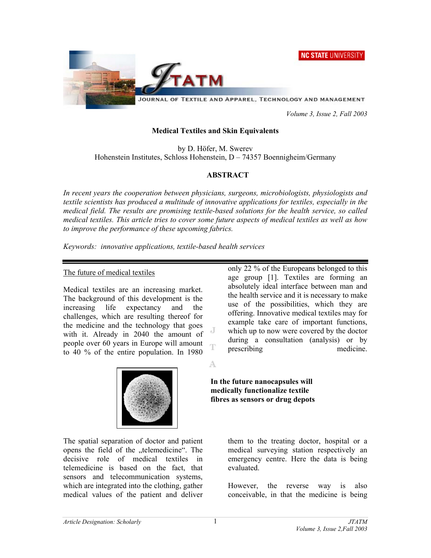



JOURNAL OF TEXTILE AND APPAREL, TECHNOLOGY AND MANAGEMENT

 *Volume 3, Issue 2, Fall 2003* 

#### **Medical Textiles and Skin Equivalents**

by D. Höfer, M. Swerev Hohenstein Institutes, Schloss Hohenstein, D – 74357 Boennigheim/Germany

### **ABSTRACT**

*In recent years the cooperation between physicians, surgeons, microbiologists, physiologists and textile scientists has produced a multitude of innovative applications for textiles, especially in the medical field. The results are promising textile-based solutions for the health service, so called medical textiles. This article tries to cover some future aspects of medical textiles as well as how to improve the performance of these upcoming fabrics.* 

*Keywords: innovative applications, textile-based health services* 

#### The future of medical textiles

Medical textiles are an increasing market. The background of this development is the increasing life expectancy and the challenges, which are resulting thereof for the medicine and the technology that goes with it. Already in 2040 the amount of people over 60 years in Europe will amount to 40 % of the entire population. In 1980

only 22 % of the Europeans belonged to this age group [1]. Textiles are forming an absolutely ideal interface between man and the health service and it is necessary to make use of the possibilities, which they are offering. Innovative medical textiles may for example take care of important functions, which up to now were covered by the doctor during a consultation (analysis) or by prescribing medicine.

A



The spatial separation of doctor and patient opens the field of the "telemedicine". The decisive role of medical textiles in telemedicine is based on the fact, that sensors and telecommunication systems, which are integrated into the clothing, gather medical values of the patient and deliver **fibres as sensors or drug depots** 

**In the future nanocapsules will medically functionalize textile** 

> them to the treating doctor, hospital or a medical surveying station respectively an emergency centre. Here the data is being evaluated.

> However, the reverse way is also conceivable, in that the medicine is being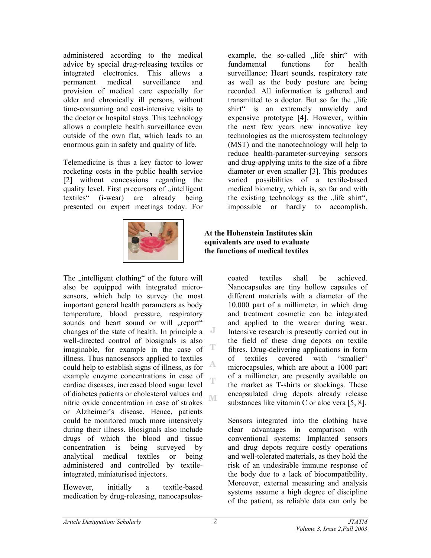administered according to the medical advice by special drug-releasing textiles or integrated electronics. This allows a permanent medical surveillance and provision of medical care especially for older and chronically ill persons, without time-consuming and cost-intensive visits to the doctor or hospital stays. This technology allows a complete health surveillance even outside of the own flat, which leads to an enormous gain in safety and quality of life.

Telemedicine is thus a key factor to lower rocketing costs in the public health service [2] without concessions regarding the quality level. First precursors of "intelligent textiles" (i-wear) are already being presented on expert meetings today. For



The "intelligent clothing" of the future will also be equipped with integrated microsensors, which help to survey the most important general health parameters as body temperature, blood pressure, respiratory sounds and heart sound or will "report" changes of the state of health. In principle a well-directed control of biosignals is also т imaginable, for example in the case of illness. Thus nanosensors applied to textiles A could help to establish signs of illness, as for example enzyme concentrations in case of cardiac diseases, increased blood sugar level of diabetes patients or cholesterol values and M nitric oxide concentration in case of strokes or Alzheimer's disease. Hence, patients could be monitored much more intensively during their illness. Biosignals also include drugs of which the blood and tissue concentration is being surveyed by analytical medical textiles or being administered and controlled by textileintegrated, miniaturised injectors.

However, initially a textile-based medication by drug-releasing, nanocapsulesexample, the so-called "life shirt" with fundamental functions for health surveillance: Heart sounds, respiratory rate as well as the body posture are being recorded. All information is gathered and transmitted to a doctor. But so far the "life shirt" is an extremely unwieldy and expensive prototype [4]. However, within the next few years new innovative key technologies as the microsystem technology (MST) and the nanotechnology will help to reduce health-parameter-surveying sensors and drug-applying units to the size of a fibre diameter or even smaller [3]. This produces varied possibilities of a textile-based medical biometry, which is, so far and with the existing technology as the "life shirt", impossible or hardly to accomplish.

**At the Hohenstein Institutes skin equivalents are used to evaluate the functions of medical textiles** 

> coated textiles shall be achieved. Nanocapsules are tiny hollow capsules of different materials with a diameter of the 10.000 part of a millimeter, in which drug and treatment cosmetic can be integrated and applied to the wearer during wear. Intensive research is presently carried out in the field of these drug depots on textile fibres. Drug-delivering applications in form of textiles covered with "smaller" microcapsules, which are about a 1000 part of a millimeter, are presently available on the market as T-shirts or stockings. These encapsulated drug depots already release substances like vitamin C or aloe vera [5, 8].

> Sensors integrated into the clothing have clear advantages in comparison with conventional systems: Implanted sensors and drug depots require costly operations and well-tolerated materials, as they hold the risk of an undesirable immune response of the body due to a lack of biocompatibility. Moreover, external measuring and analysis systems assume a high degree of discipline of the patient, as reliable data can only be

Ŧ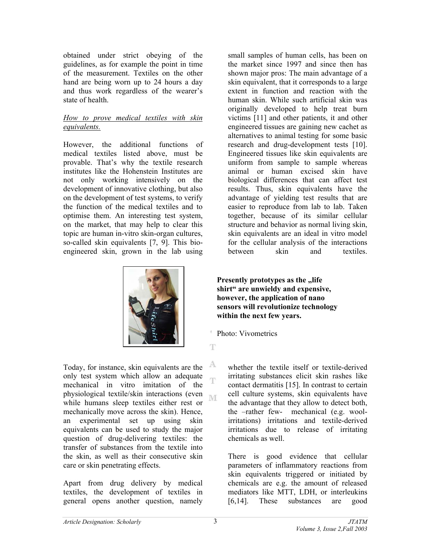obtained under strict obeying of the guidelines, as for example the point in time of the measurement. Textiles on the other hand are being worn up to 24 hours a day and thus work regardless of the wearer's state of health.

# *How to prove medical textiles with skin equivalents.*

However, the additional functions of medical textiles listed above, must be provable. That's why the textile research institutes like the Hohenstein Institutes are not only working intensively on the development of innovative clothing, but also on the development of test systems, to verify the function of the medical textiles and to optimise them. An interesting test system, on the market, that may help to clear this topic are human in-vitro skin-organ cultures, so-called skin equivalents [7, 9]. This bioengineered skin, grown in the lab using



Today, for instance, skin equivalents are the only test system which allow an adequate mechanical in vitro imitation of the physiological textile/skin interactions (even **IVE** while humans sleep textiles either rest or mechanically move across the skin). Hence, an experimental set up using skin equivalents can be used to study the major question of drug-delivering textiles: the transfer of substances from the textile into the skin, as well as their consecutive skin care or skin penetrating effects.

Apart from drug delivery by medical textiles, the development of textiles in general opens another question, namely

small samples of human cells, has been on the market since 1997 and since then has shown major pros: The main advantage of a skin equivalent, that it corresponds to a large extent in function and reaction with the human skin. While such artificial skin was originally developed to help treat burn victims [11] and other patients, it and other engineered tissues are gaining new cachet as alternatives to animal testing for some basic research and drug-development tests [10]. Engineered tissues like skin equivalents are uniform from sample to sample whereas animal or human excised skin have biological differences that can affect test results. Thus, skin equivalents have the advantage of yielding test results that are easier to reproduce from lab to lab. Taken together, because of its similar cellular structure and behavior as normal living skin, skin equivalents are an ideal in vitro model for the cellular analysis of the interactions between skin and textiles.

**Presently prototypes as the , life shirt" are unwieldy and expensive, however, the application of nano sensors will revolutionize technology within the next few years.** 

- Photo: Vivometrics
- T

A Ŧ

whether the textile itself or textile-derived irritating substances elicit skin rashes like contact dermatitis [15]. In contrast to certain cell culture systems, skin equivalents have the advantage that they allow to detect both, the –rather few- mechanical (e.g. woolirritations) irritations and textile-derived irritations due to release of irritating chemicals as well.

There is good evidence that cellular parameters of inflammatory reactions from skin equivalents triggered or initiated by chemicals are e.g. the amount of released mediators like MTT, LDH, or interleukins [6,14]. These substances are good